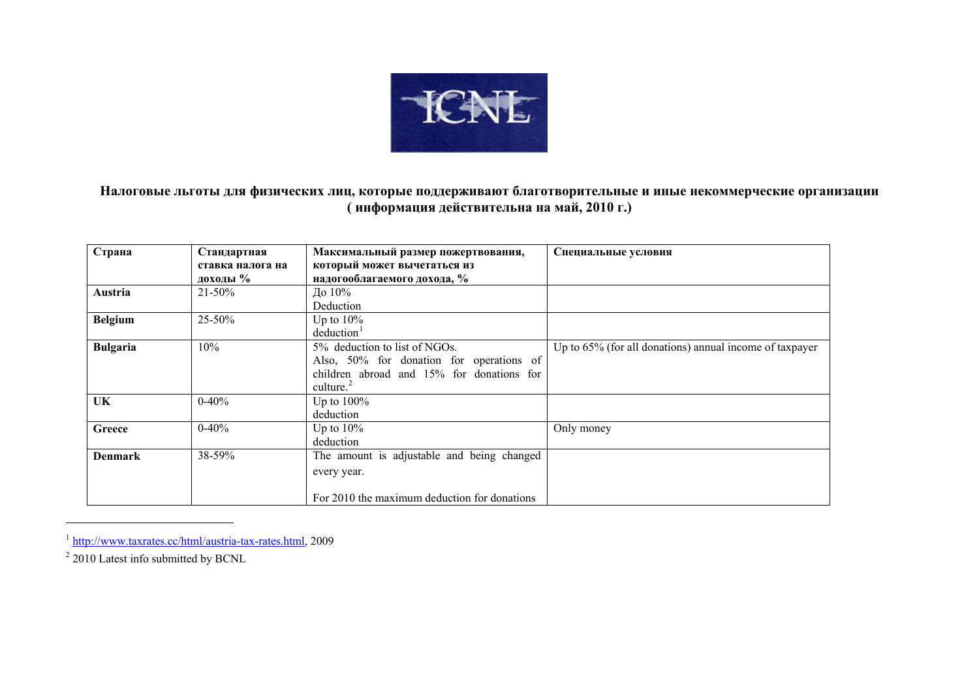

**Налоговые льготы для физических лиц, которые поддерживают благотворительные <sup>и</sup> иные некоммерческие организации ( информация действительна на май, 2010 г.)** 

| Страна          | Стандартная      | Максимальный размер пожертвования,           | Специальные условия                                     |
|-----------------|------------------|----------------------------------------------|---------------------------------------------------------|
|                 | ставка налога на | который может вычетаться из                  |                                                         |
|                 | доходы %         | надогооблагаемого дохода, %                  |                                                         |
| Austria         | $21 - 50\%$      | До 10%                                       |                                                         |
|                 |                  | Deduction                                    |                                                         |
| <b>Belgium</b>  | $25 - 50\%$      | Up to $10\%$                                 |                                                         |
|                 |                  | deduction <sup>1</sup>                       |                                                         |
| <b>Bulgaria</b> | 10%              | 5% deduction to list of NGOs.                | Up to 65% (for all donations) annual income of taxpayer |
|                 |                  | Also, 50% for donation for operations of     |                                                         |
|                 |                  | children abroad and 15% for donations for    |                                                         |
|                 |                  | culture. $^{2}$                              |                                                         |
| UK              | $0-40%$          | Up to $100\%$                                |                                                         |
|                 |                  | deduction                                    |                                                         |
| Greece          | $0-40%$          | Up to $10\%$                                 | Only money                                              |
|                 |                  | deduction                                    |                                                         |
| <b>Denmark</b>  | 38-59%           | The amount is adjustable and being changed   |                                                         |
|                 |                  | every year.                                  |                                                         |
|                 |                  |                                              |                                                         |
|                 |                  | For 2010 the maximum deduction for donations |                                                         |

<sup>&</sup>lt;sup>1</sup> <http://www.taxrates.cc/html/austria-tax-rates.html>, 2009

<span id="page-0-1"></span><span id="page-0-0"></span> $2\overline{2010}$  Latest info submitted by BCNL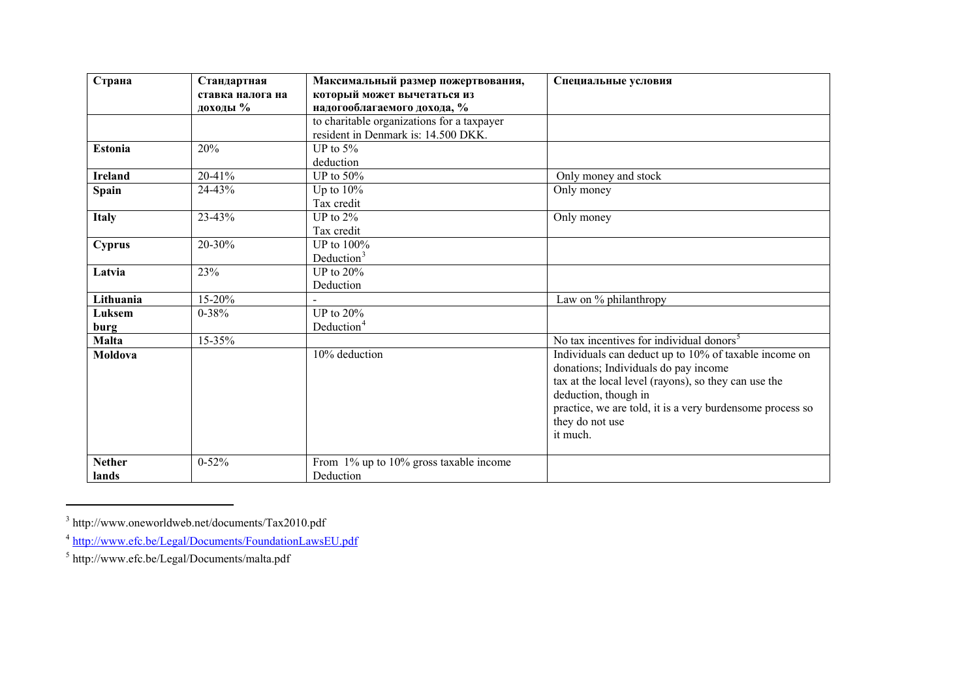| Страна         | Стандартная      | Максимальный размер пожертвования,           | Специальные условия                                       |
|----------------|------------------|----------------------------------------------|-----------------------------------------------------------|
|                | ставка налога на | который может вычетаться из                  |                                                           |
|                | доходы %         | надогооблагаемого дохода, %                  |                                                           |
|                |                  | to charitable organizations for a taxpayer   |                                                           |
|                |                  | resident in Denmark is: 14.500 DKK.          |                                                           |
| <b>Estonia</b> | 20%              | UP to $5%$                                   |                                                           |
|                |                  | deduction                                    |                                                           |
| <b>Ireland</b> | 20-41%           | UP to $50\%$                                 | Only money and stock                                      |
| <b>Spain</b>   | 24-43%           | Up to $10\%$                                 | Only money                                                |
|                |                  | Tax credit                                   |                                                           |
| <b>Italy</b>   | 23-43%           | UP to $2\%$                                  | Only money                                                |
|                |                  | Tax credit                                   |                                                           |
| Cyprus         | 20-30%           | UP to 100%                                   |                                                           |
|                |                  | Deduction <sup>3</sup>                       |                                                           |
| Latvia         | 23%              | UP to $20%$                                  |                                                           |
|                |                  | Deduction                                    |                                                           |
| Lithuania      | $15 - 20%$       |                                              | Law on % philanthropy                                     |
| Luksem         | $0 - 38%$        | UP to $20\%$                                 |                                                           |
| burg           |                  | Deduction <sup>4</sup>                       |                                                           |
| <b>Malta</b>   | 15-35%           |                                              | No tax incentives for individual donors <sup>5</sup>      |
| Moldova        |                  | 10% deduction                                | Individuals can deduct up to 10% of taxable income on     |
|                |                  |                                              | donations; Individuals do pay income                      |
|                |                  |                                              | tax at the local level (rayons), so they can use the      |
|                |                  |                                              | deduction, though in                                      |
|                |                  |                                              | practice, we are told, it is a very burdensome process so |
|                |                  |                                              | they do not use                                           |
|                |                  |                                              | it much.                                                  |
|                |                  |                                              |                                                           |
| <b>Nether</b>  | $0 - 52%$        | From $1\%$ up to $10\%$ gross taxable income |                                                           |
| lands          |                  | Deduction                                    |                                                           |

<span id="page-1-0"></span> $^3$ http://www.oneworldweb.net/documents/Tax2010.pdf

<span id="page-1-1"></span><sup>&</sup>lt;sup>4</sup> <http://www.efc.be/Legal/Documents/FoundationLawsEU.pdf>

<span id="page-1-2"></span><sup>5</sup> http://www.efc.be/Legal/Documents/malta.pdf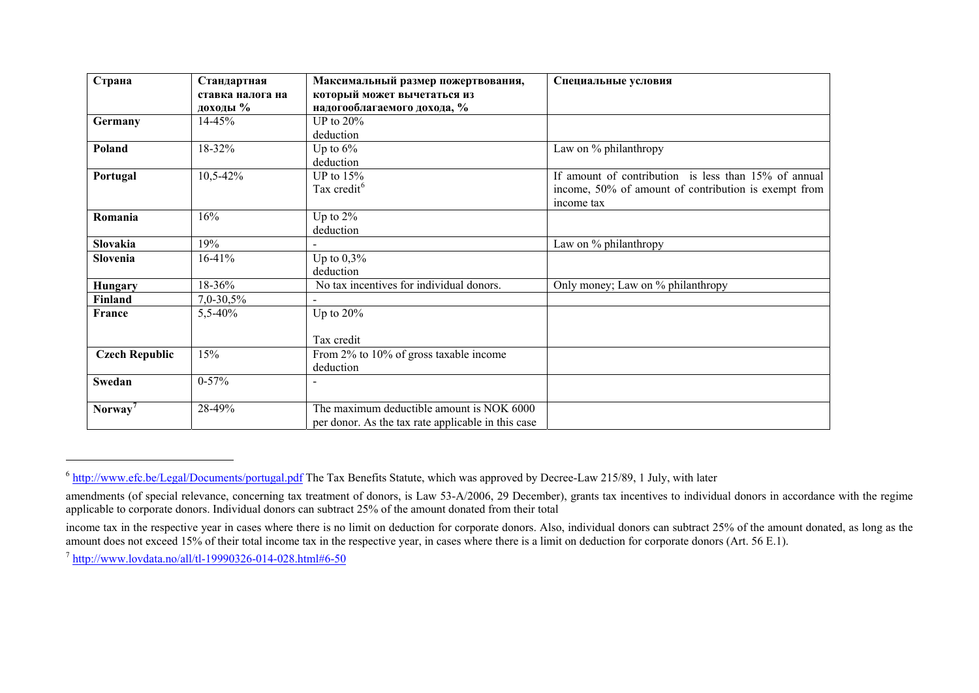| Страна                | Стандартная      | Максимальный размер пожертвования,                 | Специальные условия                                  |
|-----------------------|------------------|----------------------------------------------------|------------------------------------------------------|
|                       | ставка налога на | который может вычетаться из                        |                                                      |
|                       | доходы %         | надогооблагаемого дохода, %                        |                                                      |
| Germany               | 14-45%           | UP to $20\%$                                       |                                                      |
|                       |                  | deduction                                          |                                                      |
| Poland                | 18-32%           | Up to $6\%$                                        | Law on % philanthropy                                |
|                       |                  | deduction                                          |                                                      |
| Portugal              | 10,5-42%         | UP to $15%$                                        | If amount of contribution is less than 15% of annual |
|                       |                  | Tax credit <sup>6</sup>                            | income, 50% of amount of contribution is exempt from |
|                       |                  |                                                    | income tax                                           |
| Romania               | 16%              | Up to $2\%$                                        |                                                      |
|                       |                  | deduction                                          |                                                      |
| Slovakia              | 19%              |                                                    | Law on % philanthropy                                |
| Slovenia              | $16-41%$         | Up to $0,3\%$                                      |                                                      |
|                       |                  | deduction                                          |                                                      |
| Hungary               | 18-36%           | No tax incentives for individual donors.           | Only money; Law on % philanthropy                    |
| Finland               | $7,0-30,5%$      |                                                    |                                                      |
| France                | 5,5-40%          | Up to $20\%$                                       |                                                      |
|                       |                  |                                                    |                                                      |
|                       |                  | Tax credit                                         |                                                      |
| <b>Czech Republic</b> | 15%              | From 2% to 10% of gross taxable income             |                                                      |
|                       |                  | deduction                                          |                                                      |
| Swedan                | $0-57%$          |                                                    |                                                      |
|                       |                  |                                                    |                                                      |
| Norway <sup>7</sup>   | 28-49%           | The maximum deductible amount is NOK 6000          |                                                      |
|                       |                  | per donor. As the tax rate applicable in this case |                                                      |

 $6$  <http://www.efc.be/Legal/Documents/portugal.pdf>The Tax Benefits Statute, which was approved by Decree-Law 215/89, 1 July, with later

<span id="page-2-1"></span><span id="page-2-0"></span>amendments (of special relevance, concerning tax treatment of donors, is Law 53-A/2006, 29 December), grants tax incentives to individual donors in accordance with the regime applicable to corporate donors. Individual donors can subtract 25% of the amount donated from their total

income tax in the respective year in cases where there is no limit on deduction for corporate donors. Also, individual donors can subtract 25% of the amount donated, as long as the amount does not exceed 15% of their total income tax in the respective year, in cases where there is a limit on deduction for corporate donors (Art. 56 E.1).

<sup>&</sup>lt;sup>7</sup> <http://www.lovdata.no/all/tl-19990326-014-028.html#6-50>